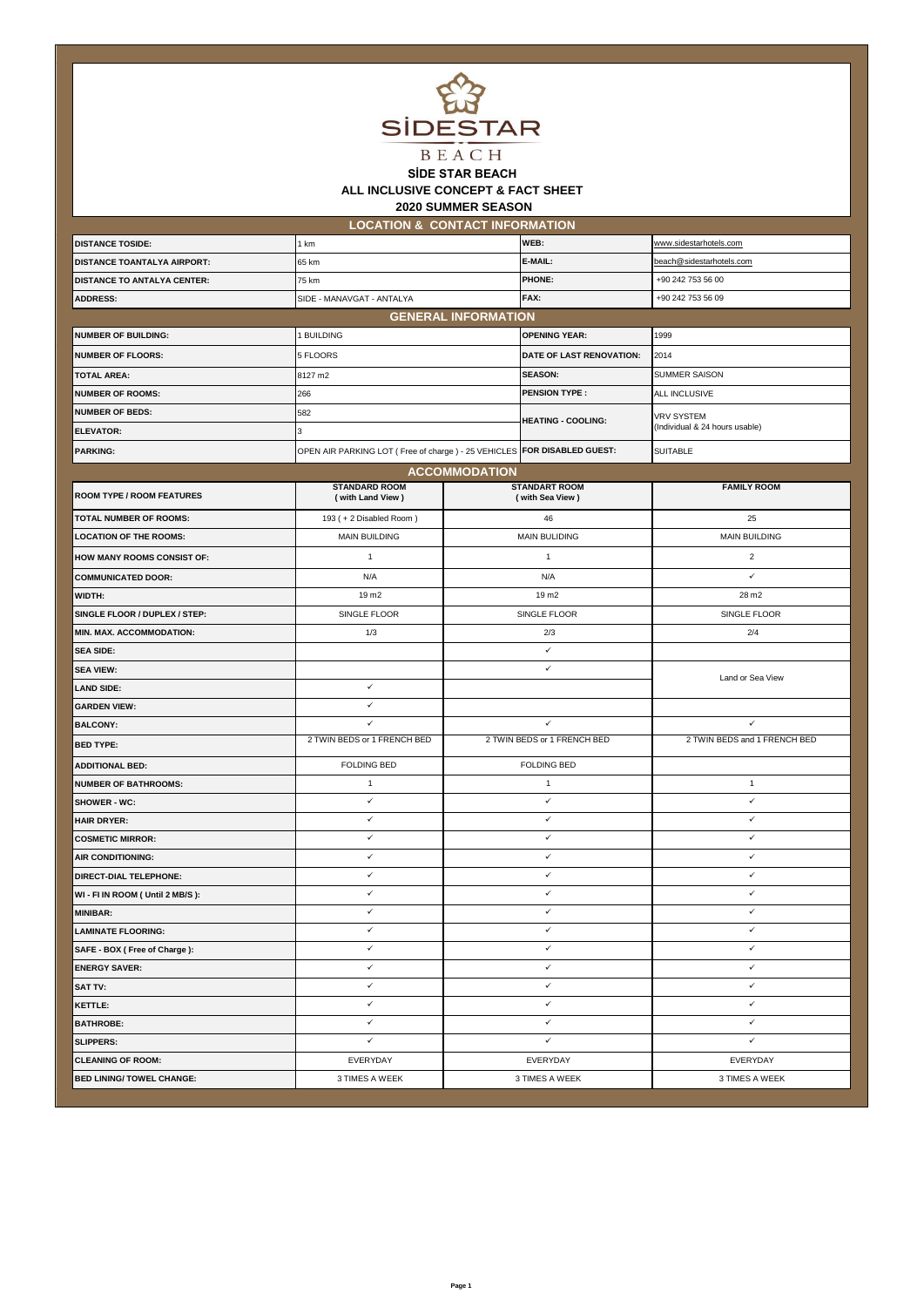

## **2020 SUMMER SEASON SİDE STAR BEACH ALL INCLUSIVE CONCEPT & FACT SHEET**

**LOCATION & CONTACT INFORMATION**

| <b>DISTANCE TOSIDE:</b>            | 1 km                                                                      |                             | WEB:                                    | www.sidestarhotels.com         |  |  |
|------------------------------------|---------------------------------------------------------------------------|-----------------------------|-----------------------------------------|--------------------------------|--|--|
| <b>DISTANCE TOANTALYA AIRPORT:</b> | 65 km                                                                     |                             | E-MAIL:                                 | beach@sidestarhotels.com       |  |  |
| <b>DISTANCE TO ANTALYA CENTER:</b> | 75 km                                                                     |                             | <b>PHONE:</b>                           | +90 242 753 56 00              |  |  |
| <b>ADDRESS:</b>                    | SIDE - MANAVGAT - ANTALYA                                                 |                             | FAX:                                    | +90 242 753 56 09              |  |  |
| <b>GENERAL INFORMATION</b>         |                                                                           |                             |                                         |                                |  |  |
| <b>NUMBER OF BUILDING:</b>         | 1 BUILDING                                                                |                             | <b>OPENING YEAR:</b>                    | 1999                           |  |  |
| <b>NUMBER OF FLOORS:</b>           | 5 FLOORS                                                                  |                             | DATE OF LAST RENOVATION:                | 2014                           |  |  |
| <b>TOTAL AREA:</b>                 | 8127 m2                                                                   |                             | <b>SEASON:</b>                          | SUMMER SAISON                  |  |  |
| <b>NUMBER OF ROOMS:</b>            | 266                                                                       |                             | <b>PENSION TYPE:</b>                    | ALL INCLUSIVE                  |  |  |
| <b>NUMBER OF BEDS:</b>             | 582                                                                       |                             | <b>HEATING - COOLING:</b>               | <b>VRV SYSTEM</b>              |  |  |
| <b>ELEVATOR:</b>                   | 3                                                                         |                             |                                         | (Individual & 24 hours usable) |  |  |
| <b>PARKING:</b>                    | OPEN AIR PARKING LOT ( Free of charge ) - 25 VEHICLES FOR DISABLED GUEST: |                             |                                         | <b>SUITABLE</b>                |  |  |
|                                    |                                                                           | <b>ACCOMMODATION</b>        |                                         |                                |  |  |
| <b>ROOM TYPE / ROOM FEATURES</b>   | <b>STANDARD ROOM</b><br>(with Land View)                                  |                             | <b>STANDART ROOM</b><br>(with Sea View) | <b>FAMILY ROOM</b>             |  |  |
| <b>TOTAL NUMBER OF ROOMS:</b>      | 193 (+2 Disabled Room)                                                    |                             | 46                                      | 25                             |  |  |
| <b>LOCATION OF THE ROOMS:</b>      | <b>MAIN BUILDING</b>                                                      |                             | <b>MAIN BULIDING</b>                    | <b>MAIN BUILDING</b>           |  |  |
| <b>HOW MANY ROOMS CONSIST OF:</b>  | $\mathbf{1}$                                                              |                             | $\mathbf{1}$                            | $\overline{2}$                 |  |  |
| <b>COMMUNICATED DOOR:</b>          | N/A                                                                       | N/A                         |                                         | ✓                              |  |  |
| WIDTH:                             | 19 m <sub>2</sub>                                                         | 19 m <sub>2</sub>           |                                         | 28 m2                          |  |  |
| SINGLE FLOOR / DUPLEX / STEP:      | SINGLE FLOOR                                                              | SINGLE FLOOR                |                                         | SINGLE FLOOR                   |  |  |
| MIN. MAX. ACCOMMODATION:           | 1/3                                                                       | 2/3                         |                                         | 2/4                            |  |  |
| <b>SEA SIDE:</b>                   |                                                                           | ✓                           |                                         |                                |  |  |
| <b>SEA VIEW:</b>                   |                                                                           | $\checkmark$                |                                         | Land or Sea View               |  |  |
| <b>LAND SIDE:</b>                  | ✓                                                                         |                             |                                         |                                |  |  |
| <b>GARDEN VIEW:</b>                | ✓                                                                         |                             |                                         |                                |  |  |
| <b>BALCONY:</b>                    | ✓                                                                         | ✓                           |                                         | $\checkmark$                   |  |  |
| <b>BED TYPE:</b>                   | 2 TWIN BEDS or 1 FRENCH BED                                               | 2 TWIN BEDS or 1 FRENCH BED |                                         | 2 TWIN BEDS and 1 FRENCH BED   |  |  |
| <b>ADDITIONAL BED:</b>             | <b>FOLDING BED</b>                                                        | <b>FOLDING BED</b>          |                                         |                                |  |  |
| <b>NUMBER OF BATHROOMS:</b>        | 1                                                                         | $\mathbf{1}$                |                                         | $\mathbf{1}$                   |  |  |
| SHOWER - WC:                       | ✓                                                                         | $\checkmark$                |                                         | $\checkmark$                   |  |  |
| <b>HAIR DRYER:</b>                 | ✓                                                                         | $\checkmark$                |                                         | $\checkmark$                   |  |  |
| <b>COSMETIC MIRROR:</b>            | ✓                                                                         | ✓                           |                                         | ✓                              |  |  |
| AIR CONDITIONING:                  | ✓                                                                         | ✓                           |                                         | $\checkmark$                   |  |  |
| DIRECT-DIAL TELEPHONE:             | ✓                                                                         | ✓                           |                                         | ✓                              |  |  |
| WI - FI IN ROOM (Until 2 MB/S):    | ✓                                                                         | ✓                           |                                         | $\checkmark$                   |  |  |
| <b>MINIBAR:</b>                    | ✓                                                                         | ✓                           |                                         | $\checkmark$                   |  |  |
| <b>LAMINATE FLOORING:</b>          | $\checkmark$                                                              | ✓                           |                                         | ✓                              |  |  |
| SAFE - BOX ( Free of Charge ):     | ✓                                                                         |                             | ✓                                       | $\checkmark$                   |  |  |
| <b>ENERGY SAVER:</b>               | ✓                                                                         |                             | ✓                                       | $\checkmark$                   |  |  |
| <b>SAT TV:</b>                     | ✓                                                                         |                             | ✓                                       | $\checkmark$                   |  |  |
| <b>KETTLE:</b>                     | ✓                                                                         |                             | ✓                                       | $\checkmark$                   |  |  |
| <b>BATHROBE:</b>                   | ✓                                                                         |                             | ✓                                       | ✓                              |  |  |
| <b>SLIPPERS:</b>                   | ✓                                                                         |                             | ✓                                       | ✓                              |  |  |
| <b>CLEANING OF ROOM:</b>           | EVERYDAY                                                                  |                             | EVERYDAY                                | EVERYDAY                       |  |  |
| <b>BED LINING/ TOWEL CHANGE:</b>   | 3 TIMES A WEEK                                                            |                             | 3 TIMES A WEEK                          | 3 TIMES A WEEK                 |  |  |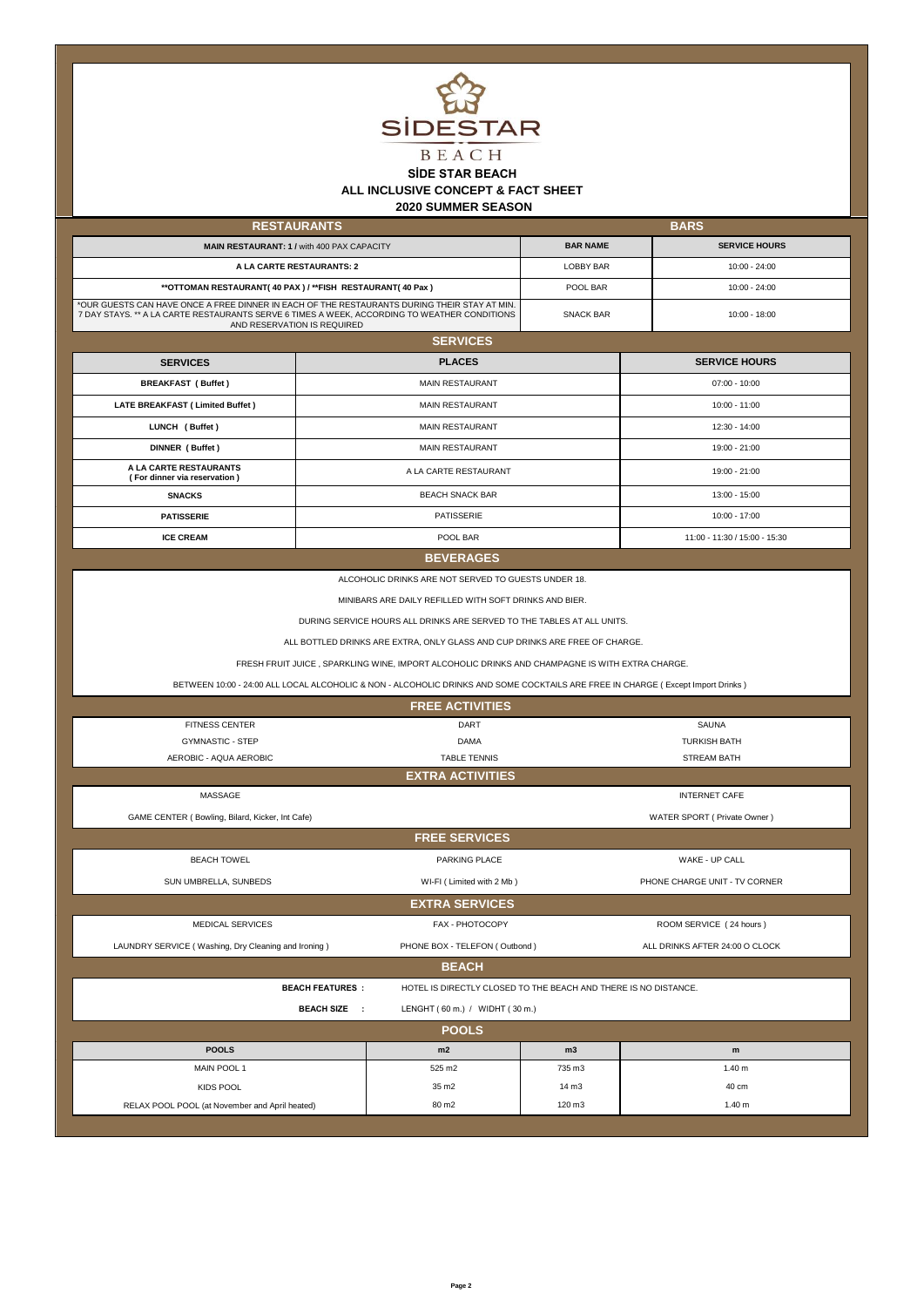

## **SİDE STAR BEACH ALL INCLUSIVE CONCEPT & FACT SHEET**

 **2020 SUMMER SEASON**

| <b>RESTAURANTS</b>                                                                                                                                                                                                          |                                                   | <b>BARS</b>      |                               |  |
|-----------------------------------------------------------------------------------------------------------------------------------------------------------------------------------------------------------------------------|---------------------------------------------------|------------------|-------------------------------|--|
|                                                                                                                                                                                                                             | <b>MAIN RESTAURANT: 1 / with 400 PAX CAPACITY</b> | <b>BAR NAME</b>  | <b>SERVICE HOURS</b>          |  |
| A LA CARTE RESTAURANTS: 2                                                                                                                                                                                                   |                                                   | <b>LOBBY BAR</b> | $10:00 - 24:00$               |  |
| ** OTTOMAN RESTAURANT(40 PAX) / ** FISH RESTAURANT(40 Pax)                                                                                                                                                                  |                                                   | POOL BAR         | $10:00 - 24:00$               |  |
| *OUR GUESTS CAN HAVE ONCE A FREE DINNER IN EACH OF THE RESTAURANTS DURING THEIR STAY AT MIN.<br>7 DAY STAYS. ** A LA CARTE RESTAURANTS SERVE 6 TIMES A WEEK, ACCORDING TO WEATHER CONDITIONS<br>AND RESERVATION IS REQUIRED |                                                   | <b>SNACK BAR</b> | 10:00 - 18:00                 |  |
| <b>SERVICES</b>                                                                                                                                                                                                             |                                                   |                  |                               |  |
| <b>SERVICES</b>                                                                                                                                                                                                             | <b>PLACES</b>                                     |                  | <b>SERVICE HOURS</b>          |  |
| <b>BREAKFAST (Buffet)</b>                                                                                                                                                                                                   | <b>MAIN RESTAURANT</b>                            |                  | $07:00 - 10:00$               |  |
| <b>LATE BREAKFAST (Limited Buffet)</b>                                                                                                                                                                                      | <b>MAIN RESTAURANT</b>                            |                  | 10:00 - 11:00                 |  |
| LUNCH (Buffet)                                                                                                                                                                                                              | <b>MAIN RESTAURANT</b>                            |                  | 12:30 - 14:00                 |  |
| DINNER (Buffet)                                                                                                                                                                                                             | <b>MAIN RESTAURANT</b>                            |                  | 19:00 - 21:00                 |  |
| A LA CARTE RESTAURANTS<br>(For dinner via reservation)                                                                                                                                                                      | A LA CARTE RESTAURANT                             |                  | 19:00 - 21:00                 |  |
| <b>SNACKS</b>                                                                                                                                                                                                               | <b>BEACH SNACK BAR</b>                            |                  | 13:00 - 15:00                 |  |
| <b>PATISSERIE</b>                                                                                                                                                                                                           | PATISSERIE                                        |                  | 10:00 - 17:00                 |  |
| <b>ICE CREAM</b>                                                                                                                                                                                                            | POOL BAR                                          |                  | 11:00 - 11:30 / 15:00 - 15:30 |  |

## **BEVERAGES**

ALCOHOLIC DRINKS ARE NOT SERVED TO GUESTS UNDER 18.

MINIBARS ARE DAILY REFILLED WITH SOFT DRINKS AND BIER.

DURING SERVICE HOURS ALL DRINKS ARE SERVED TO THE TABLES AT ALL UNITS.

ALL BOTTLED DRINKS ARE EXTRA, ONLY GLASS AND CUP DRINKS ARE FREE OF CHARGE.

FRESH FRUIT JUICE , SPARKLING WINE, IMPORT ALCOHOLIC DRINKS AND CHAMPAGNE IS WITH EXTRA CHARGE.

BETWEEN 10:00 - 24:00 ALL LOCAL ALCOHOLIC & NON - ALCOHOLIC DRINKS AND SOME COCKTAILS ARE FREE IN CHARGE ( Except Import Drinks )

| <b>FREE ACTIVITIES</b>                              |                                |                                                                 |                                |  |  |  |
|-----------------------------------------------------|--------------------------------|-----------------------------------------------------------------|--------------------------------|--|--|--|
| <b>FITNESS CENTER</b>                               | DART                           |                                                                 | <b>SAUNA</b>                   |  |  |  |
| <b>GYMNASTIC - STEP</b>                             | <b>DAMA</b>                    |                                                                 | <b>TURKISH BATH</b>            |  |  |  |
| AEROBIC - AQUA AEROBIC                              | <b>TABLE TENNIS</b>            |                                                                 | <b>STREAM BATH</b>             |  |  |  |
|                                                     | <b>EXTRA ACTIVITIES</b>        |                                                                 |                                |  |  |  |
| MASSAGE                                             |                                |                                                                 | <b>INTERNET CAFE</b>           |  |  |  |
| GAME CENTER (Bowling, Bilard, Kicker, Int Cafe)     |                                |                                                                 | WATER SPORT ( Private Owner )  |  |  |  |
|                                                     | <b>FREE SERVICES</b>           |                                                                 |                                |  |  |  |
| <b>BEACH TOWEL</b>                                  | PARKING PLACE                  |                                                                 | WAKE - UP CALL                 |  |  |  |
| SUN UMBRELLA, SUNBEDS                               | WI-FI (Limited with 2 Mb)      |                                                                 | PHONE CHARGE UNIT - TV CORNER  |  |  |  |
|                                                     | <b>EXTRA SERVICES</b>          |                                                                 |                                |  |  |  |
| <b>MEDICAL SERVICES</b>                             | FAX - PHOTOCOPY                |                                                                 | ROOM SERVICE (24 hours)        |  |  |  |
| LAUNDRY SERVICE (Washing, Dry Cleaning and Ironing) | PHONE BOX - TELEFON (Outbond)  |                                                                 | ALL DRINKS AFTER 24:00 O CLOCK |  |  |  |
| <b>BEACH</b>                                        |                                |                                                                 |                                |  |  |  |
| <b>BEACH FEATURES:</b>                              |                                | HOTEL IS DIRECTLY CLOSED TO THE BEACH AND THERE IS NO DISTANCE. |                                |  |  |  |
| <b>BEACH SIZE</b><br>$\sim$ 1.                      | LENGHT (60 m.) / WIDHT (30 m.) |                                                                 |                                |  |  |  |
| <b>POOLS</b>                                        |                                |                                                                 |                                |  |  |  |
| <b>POOLS</b>                                        | m2                             | m3                                                              | m                              |  |  |  |
| MAIN POOL 1                                         | 525 m2                         | 735 m3                                                          | 1.40 <sub>m</sub>              |  |  |  |
| KIDS POOL                                           | 35 m <sub>2</sub>              | 14 <sub> m3</sub>                                               | 40 cm                          |  |  |  |
| RELAX POOL POOL (at November and April heated)      | 80 m2                          | 120 m3                                                          | 1.40 <sub>m</sub>              |  |  |  |